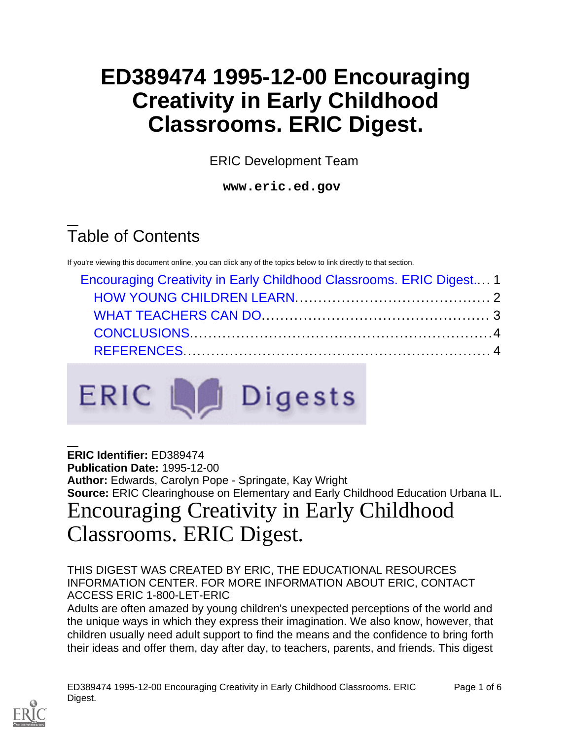# **ED389474 1995-12-00 Encouraging Creativity in Early Childhood Classrooms. ERIC Digest.**

ERIC Development Team

**www.eric.ed.gov**

# Table of Contents

If you're viewing this document online, you can click any of the topics below to link directly to that section.

| Encouraging Creativity in Early Childhood Classrooms. ERIC Digest 1 |  |  |
|---------------------------------------------------------------------|--|--|
|                                                                     |  |  |
|                                                                     |  |  |
|                                                                     |  |  |
|                                                                     |  |  |



**ERIC Identifier:** ED389474 **Publication Date:** 1995-12-00 **Author:** Edwards, Carolyn Pope - Springate, Kay Wright **Source:** ERIC Clearinghouse on Elementary and Early Childhood Education Urbana IL.

### <span id="page-0-0"></span>Encouraging Creativity in Early Childhood Classrooms. ERIC Digest.

#### THIS DIGEST WAS CREATED BY ERIC, THE EDUCATIONAL RESOURCES INFORMATION CENTER. FOR MORE INFORMATION ABOUT ERIC, CONTACT ACCESS ERIC 1-800-LET-ERIC

Adults are often amazed by young children's unexpected perceptions of the world and the unique ways in which they express their imagination. We also know, however, that children usually need adult support to find the means and the confidence to bring forth their ideas and offer them, day after day, to teachers, parents, and friends. This digest

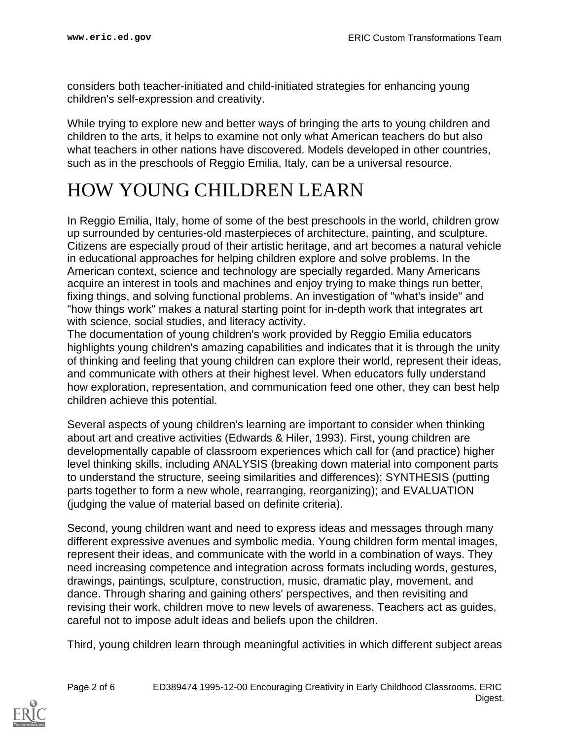considers both teacher-initiated and child-initiated strategies for enhancing young children's self-expression and creativity.

While trying to explore new and better ways of bringing the arts to young children and children to the arts, it helps to examine not only what American teachers do but also what teachers in other nations have discovered. Models developed in other countries, such as in the preschools of Reggio Emilia, Italy, can be a universal resource.

#### <span id="page-1-0"></span>HOW YOUNG CHILDREN LEARN

In Reggio Emilia, Italy, home of some of the best preschools in the world, children grow up surrounded by centuries-old masterpieces of architecture, painting, and sculpture. Citizens are especially proud of their artistic heritage, and art becomes a natural vehicle in educational approaches for helping children explore and solve problems. In the American context, science and technology are specially regarded. Many Americans acquire an interest in tools and machines and enjoy trying to make things run better, fixing things, and solving functional problems. An investigation of "what's inside" and "how things work" makes a natural starting point for in-depth work that integrates art with science, social studies, and literacy activity.

The documentation of young children's work provided by Reggio Emilia educators highlights young children's amazing capabilities and indicates that it is through the unity of thinking and feeling that young children can explore their world, represent their ideas, and communicate with others at their highest level. When educators fully understand how exploration, representation, and communication feed one other, they can best help children achieve this potential.

Several aspects of young children's learning are important to consider when thinking about art and creative activities (Edwards & Hiler, 1993). First, young children are developmentally capable of classroom experiences which call for (and practice) higher level thinking skills, including ANALYSIS (breaking down material into component parts to understand the structure, seeing similarities and differences); SYNTHESIS (putting parts together to form a new whole, rearranging, reorganizing); and EVALUATION (judging the value of material based on definite criteria).

Second, young children want and need to express ideas and messages through many different expressive avenues and symbolic media. Young children form mental images, represent their ideas, and communicate with the world in a combination of ways. They need increasing competence and integration across formats including words, gestures, drawings, paintings, sculpture, construction, music, dramatic play, movement, and dance. Through sharing and gaining others' perspectives, and then revisiting and revising their work, children move to new levels of awareness. Teachers act as guides, careful not to impose adult ideas and beliefs upon the children.

Third, young children learn through meaningful activities in which different subject areas

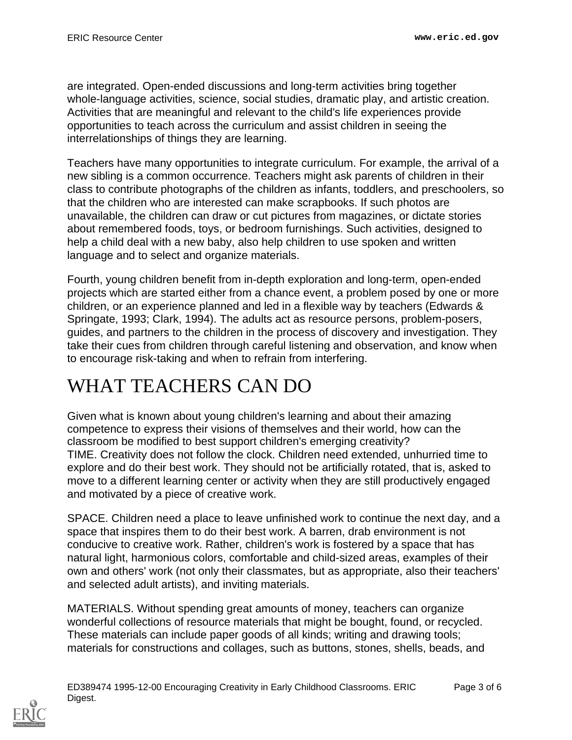are integrated. Open-ended discussions and long-term activities bring together whole-language activities, science, social studies, dramatic play, and artistic creation. Activities that are meaningful and relevant to the child's life experiences provide opportunities to teach across the curriculum and assist children in seeing the interrelationships of things they are learning.

Teachers have many opportunities to integrate curriculum. For example, the arrival of a new sibling is a common occurrence. Teachers might ask parents of children in their class to contribute photographs of the children as infants, toddlers, and preschoolers, so that the children who are interested can make scrapbooks. If such photos are unavailable, the children can draw or cut pictures from magazines, or dictate stories about remembered foods, toys, or bedroom furnishings. Such activities, designed to help a child deal with a new baby, also help children to use spoken and written language and to select and organize materials.

Fourth, young children benefit from in-depth exploration and long-term, open-ended projects which are started either from a chance event, a problem posed by one or more children, or an experience planned and led in a flexible way by teachers (Edwards & Springate, 1993; Clark, 1994). The adults act as resource persons, problem-posers, guides, and partners to the children in the process of discovery and investigation. They take their cues from children through careful listening and observation, and know when to encourage risk-taking and when to refrain from interfering.

## <span id="page-2-0"></span>WHAT TEACHERS CAN DO

Given what is known about young children's learning and about their amazing competence to express their visions of themselves and their world, how can the classroom be modified to best support children's emerging creativity? TIME. Creativity does not follow the clock. Children need extended, unhurried time to explore and do their best work. They should not be artificially rotated, that is, asked to move to a different learning center or activity when they are still productively engaged and motivated by a piece of creative work.

SPACE. Children need a place to leave unfinished work to continue the next day, and a space that inspires them to do their best work. A barren, drab environment is not conducive to creative work. Rather, children's work is fostered by a space that has natural light, harmonious colors, comfortable and child-sized areas, examples of their own and others' work (not only their classmates, but as appropriate, also their teachers' and selected adult artists), and inviting materials.

MATERIALS. Without spending great amounts of money, teachers can organize wonderful collections of resource materials that might be bought, found, or recycled. These materials can include paper goods of all kinds; writing and drawing tools; materials for constructions and collages, such as buttons, stones, shells, beads, and



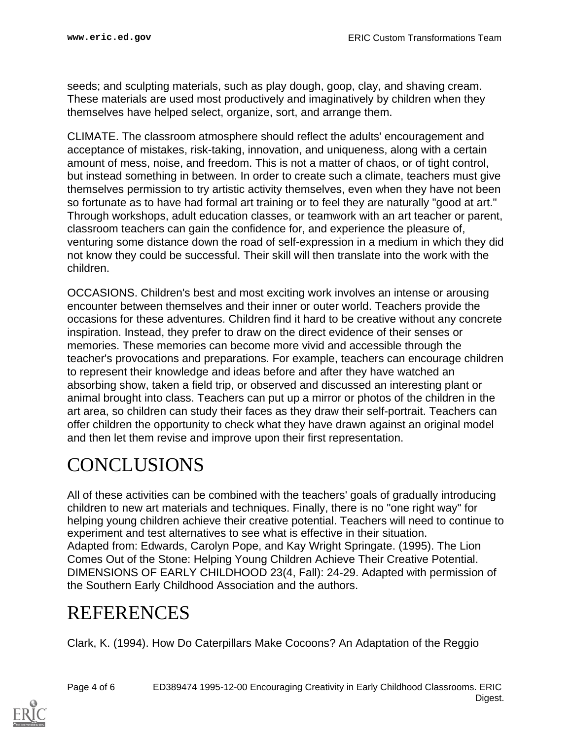seeds; and sculpting materials, such as play dough, goop, clay, and shaving cream. These materials are used most productively and imaginatively by children when they themselves have helped select, organize, sort, and arrange them.

CLIMATE. The classroom atmosphere should reflect the adults' encouragement and acceptance of mistakes, risk-taking, innovation, and uniqueness, along with a certain amount of mess, noise, and freedom. This is not a matter of chaos, or of tight control, but instead something in between. In order to create such a climate, teachers must give themselves permission to try artistic activity themselves, even when they have not been so fortunate as to have had formal art training or to feel they are naturally "good at art." Through workshops, adult education classes, or teamwork with an art teacher or parent, classroom teachers can gain the confidence for, and experience the pleasure of, venturing some distance down the road of self-expression in a medium in which they did not know they could be successful. Their skill will then translate into the work with the children.

OCCASIONS. Children's best and most exciting work involves an intense or arousing encounter between themselves and their inner or outer world. Teachers provide the occasions for these adventures. Children find it hard to be creative without any concrete inspiration. Instead, they prefer to draw on the direct evidence of their senses or memories. These memories can become more vivid and accessible through the teacher's provocations and preparations. For example, teachers can encourage children to represent their knowledge and ideas before and after they have watched an absorbing show, taken a field trip, or observed and discussed an interesting plant or animal brought into class. Teachers can put up a mirror or photos of the children in the art area, so children can study their faces as they draw their self-portrait. Teachers can offer children the opportunity to check what they have drawn against an original model and then let them revise and improve upon their first representation.

## <span id="page-3-0"></span>CONCLUSIONS

All of these activities can be combined with the teachers' goals of gradually introducing children to new art materials and techniques. Finally, there is no "one right way" for helping young children achieve their creative potential. Teachers will need to continue to experiment and test alternatives to see what is effective in their situation. Adapted from: Edwards, Carolyn Pope, and Kay Wright Springate. (1995). The Lion Comes Out of the Stone: Helping Young Children Achieve Their Creative Potential. DIMENSIONS OF EARLY CHILDHOOD 23(4, Fall): 24-29. Adapted with permission of the Southern Early Childhood Association and the authors.

#### <span id="page-3-1"></span>REFERENCES

Clark, K. (1994). How Do Caterpillars Make Cocoons? An Adaptation of the Reggio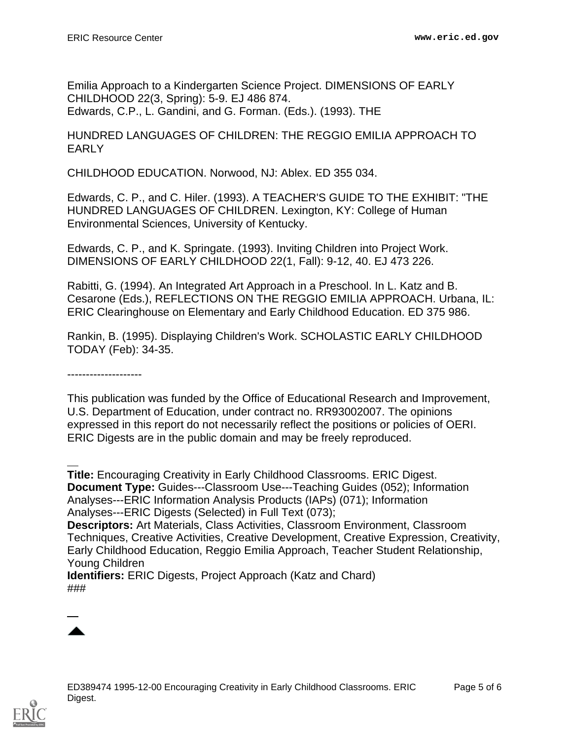Emilia Approach to a Kindergarten Science Project. DIMENSIONS OF EARLY CHILDHOOD 22(3, Spring): 5-9. EJ 486 874. Edwards, C.P., L. Gandini, and G. Forman. (Eds.). (1993). THE

#### HUNDRED LANGUAGES OF CHILDREN: THE REGGIO EMILIA APPROACH TO EARLY

CHILDHOOD EDUCATION. Norwood, NJ: Ablex. ED 355 034.

Edwards, C. P., and C. Hiler. (1993). A TEACHER'S GUIDE TO THE EXHIBIT: "THE HUNDRED LANGUAGES OF CHILDREN. Lexington, KY: College of Human Environmental Sciences, University of Kentucky.

Edwards, C. P., and K. Springate. (1993). Inviting Children into Project Work. DIMENSIONS OF EARLY CHILDHOOD 22(1, Fall): 9-12, 40. EJ 473 226.

Rabitti, G. (1994). An Integrated Art Approach in a Preschool. In L. Katz and B. Cesarone (Eds.), REFLECTIONS ON THE REGGIO EMILIA APPROACH. Urbana, IL: ERIC Clearinghouse on Elementary and Early Childhood Education. ED 375 986.

Rankin, B. (1995). Displaying Children's Work. SCHOLASTIC EARLY CHILDHOOD TODAY (Feb): 34-35.

--------------------

This publication was funded by the Office of Educational Research and Improvement, U.S. Department of Education, under contract no. RR93002007. The opinions expressed in this report do not necessarily reflect the positions or policies of OERI. ERIC Digests are in the public domain and may be freely reproduced.

**Title:** Encouraging Creativity in Early Childhood Classrooms. ERIC Digest. **Document Type:** Guides---Classroom Use---Teaching Guides (052); Information Analyses---ERIC Information Analysis Products (IAPs) (071); Information Analyses---ERIC Digests (Selected) in Full Text (073);

**Descriptors:** Art Materials, Class Activities, Classroom Environment, Classroom Techniques, Creative Activities, Creative Development, Creative Expression, Creativity, Early Childhood Education, Reggio Emilia Approach, Teacher Student Relationship, Young Children

**Identifiers:** ERIC Digests, Project Approach (Katz and Chard) ###